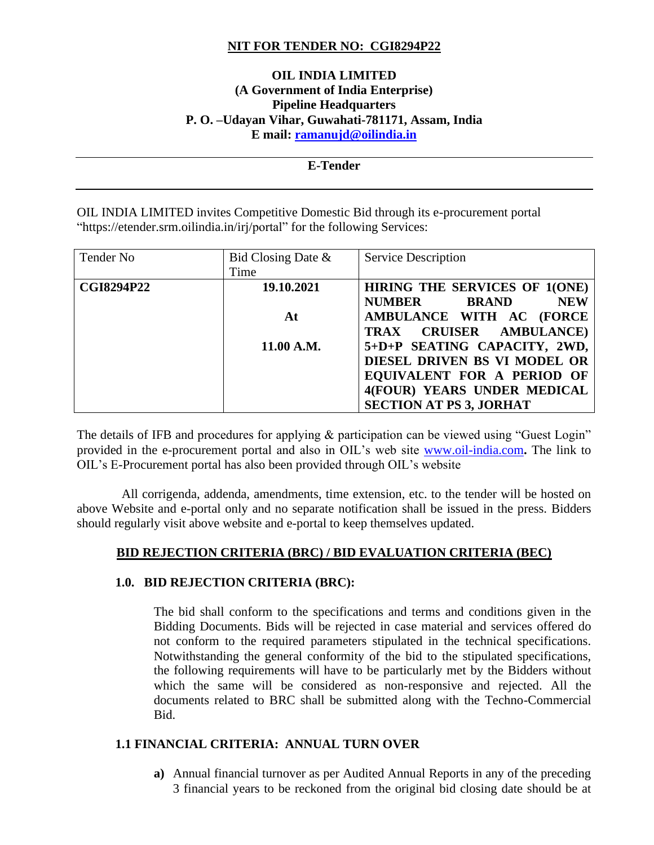# **NIT FOR TENDER NO: CGI8294P22**

# **OIL INDIA LIMITED (A Government of India Enterprise) Pipeline Headquarters P. O. –Udayan Vihar, Guwahati-781171, Assam, India E mail: [ramanujd@oilindia.in](mailto:ramanujd@oilindia.in)**

# **E-Tender** OIL INDIA LIMITED invites Competitive Domestic Bid through its e-procurement portal "https://etender.srm.oilindia.in/irj/portal" for the following Services:

| Tender No         | Bid Closing Date $\&$ | <b>Service Description</b>                  |
|-------------------|-----------------------|---------------------------------------------|
|                   | Time                  |                                             |
| <b>CGI8294P22</b> | 19.10.2021            | HIRING THE SERVICES OF 1(ONE)               |
|                   |                       | <b>NUMBER</b><br><b>BRAND</b><br><b>NEW</b> |
|                   | At                    | AMBULANCE WITH AC (FORCE                    |
|                   |                       | TRAX CRUISER AMBULANCE)                     |
|                   | 11.00 A.M.            | 5+D+P SEATING CAPACITY, 2WD,                |
|                   |                       | DIESEL DRIVEN BS VI MODEL OR                |
|                   |                       | EQUIVALENT FOR A PERIOD OF                  |
|                   |                       | 4(FOUR) YEARS UNDER MEDICAL                 |
|                   |                       | <b>SECTION AT PS 3, JORHAT</b>              |

The details of IFB and procedures for applying & participation can be viewed using "Guest Login" provided in the e-procurement portal and also in OIL's web site [www.oil-india.com](http://www.oil-india.com/)**.** The link to OIL's E-Procurement portal has also been provided through OIL's website

 All corrigenda, addenda, amendments, time extension, etc. to the tender will be hosted on above Website and e-portal only and no separate notification shall be issued in the press. Bidders should regularly visit above website and e-portal to keep themselves updated.

# **BID REJECTION CRITERIA (BRC) / BID EVALUATION CRITERIA (BEC)**

## **1.0. BID REJECTION CRITERIA (BRC):**

The bid shall conform to the specifications and terms and conditions given in the Bidding Documents. Bids will be rejected in case material and services offered do not conform to the required parameters stipulated in the technical specifications. Notwithstanding the general conformity of the bid to the stipulated specifications, the following requirements will have to be particularly met by the Bidders without which the same will be considered as non-responsive and rejected. All the documents related to BRC shall be submitted along with the Techno-Commercial Bid.

## **1.1 FINANCIAL CRITERIA: ANNUAL TURN OVER**

**a)** Annual financial turnover as per Audited Annual Reports in any of the preceding 3 financial years to be reckoned from the original bid closing date should be at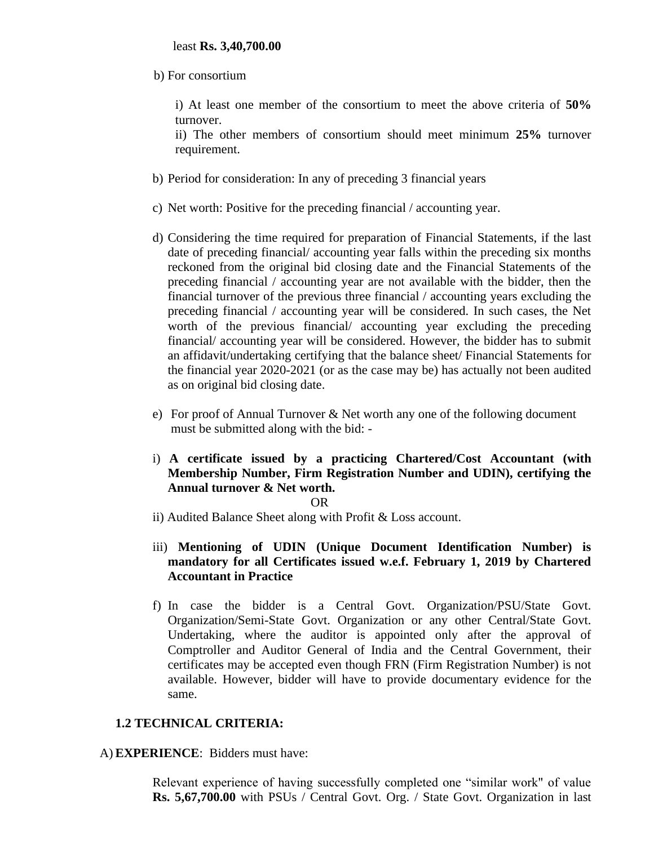b) For consortium

i) At least one member of the consortium to meet the above criteria of **50%** turnover.

ii) The other members of consortium should meet minimum **25%** turnover requirement.

- b) Period for consideration: In any of preceding 3 financial years
- c) Net worth: Positive for the preceding financial / accounting year.
- d) Considering the time required for preparation of Financial Statements, if the last date of preceding financial/ accounting year falls within the preceding six months reckoned from the original bid closing date and the Financial Statements of the preceding financial / accounting year are not available with the bidder, then the financial turnover of the previous three financial / accounting years excluding the preceding financial / accounting year will be considered. In such cases, the Net worth of the previous financial/ accounting year excluding the preceding financial/ accounting year will be considered. However, the bidder has to submit an affidavit/undertaking certifying that the balance sheet/ Financial Statements for the financial year 2020-2021 (or as the case may be) has actually not been audited as on original bid closing date.
- e) For proof of Annual Turnover & Net worth any one of the following document must be submitted along with the bid: -
- i) **A certificate issued by a practicing Chartered/Cost Accountant (with Membership Number, Firm Registration Number and UDIN), certifying the Annual turnover & Net worth.**

#### OR

- ii) Audited Balance Sheet along with Profit & Loss account.
- iii) **Mentioning of UDIN (Unique Document Identification Number) is mandatory for all Certificates issued w.e.f. February 1, 2019 by Chartered Accountant in Practice**
- f) In case the bidder is a Central Govt. Organization/PSU/State Govt. Organization/Semi-State Govt. Organization or any other Central/State Govt. Undertaking, where the auditor is appointed only after the approval of Comptroller and Auditor General of India and the Central Government, their certificates may be accepted even though FRN (Firm Registration Number) is not available. However, bidder will have to provide documentary evidence for the same.

## **1.2 TECHNICAL CRITERIA:**

#### A)**EXPERIENCE**: Bidders must have:

Relevant experience of having successfully completed one "similar work" of value **Rs. 5,67,700.00** with PSUs / Central Govt. Org. / State Govt. Organization in last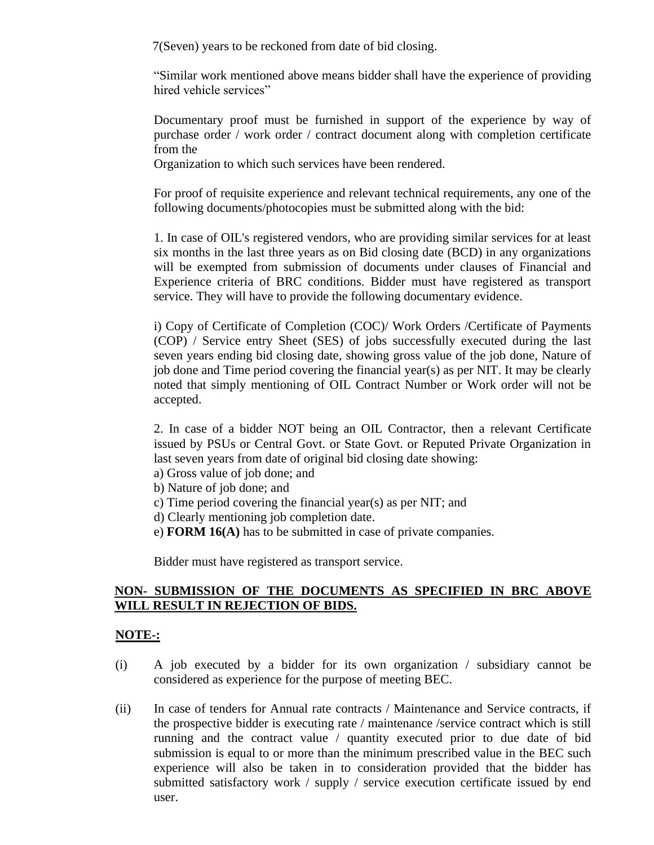7(Seven) years to be reckoned from date of bid closing.

"Similar work mentioned above means bidder shall have the experience of providing hired vehicle services"

Documentary proof must be furnished in support of the experience by way of purchase order / work order / contract document along with completion certificate from the

Organization to which such services have been rendered.

For proof of requisite experience and relevant technical requirements, any one of the following documents/photocopies must be submitted along with the bid:

1. In case of OIL's registered vendors, who are providing similar services for at least six months in the last three years as on Bid closing date (BCD) in any organizations will be exempted from submission of documents under clauses of Financial and Experience criteria of BRC conditions. Bidder must have registered as transport service. They will have to provide the following documentary evidence.

i) Copy of Certificate of Completion (COC)/ Work Orders /Certificate of Payments (COP) / Service entry Sheet (SES) of jobs successfully executed during the last seven years ending bid closing date, showing gross value of the job done, Nature of job done and Time period covering the financial year(s) as per NIT. It may be clearly noted that simply mentioning of OIL Contract Number or Work order will not be accepted.

2. In case of a bidder NOT being an OIL Contractor, then a relevant Certificate issued by PSUs or Central Govt. or State Govt. or Reputed Private Organization in last seven years from date of original bid closing date showing:

- a) Gross value of job done; and
- b) Nature of job done; and
- c) Time period covering the financial year(s) as per NIT; and
- d) Clearly mentioning job completion date.
- e) **FORM 16(A)** has to be submitted in case of private companies.

Bidder must have registered as transport service.

# **NON- SUBMISSION OF THE DOCUMENTS AS SPECIFIED IN BRC ABOVE WILL RESULT IN REJECTION OF BIDS.**

## **NOTE-:**

- (i) A job executed by a bidder for its own organization / subsidiary cannot be considered as experience for the purpose of meeting BEC.
- (ii) In case of tenders for Annual rate contracts / Maintenance and Service contracts, if the prospective bidder is executing rate / maintenance /service contract which is still running and the contract value / quantity executed prior to due date of bid submission is equal to or more than the minimum prescribed value in the BEC such experience will also be taken in to consideration provided that the bidder has submitted satisfactory work / supply / service execution certificate issued by end user.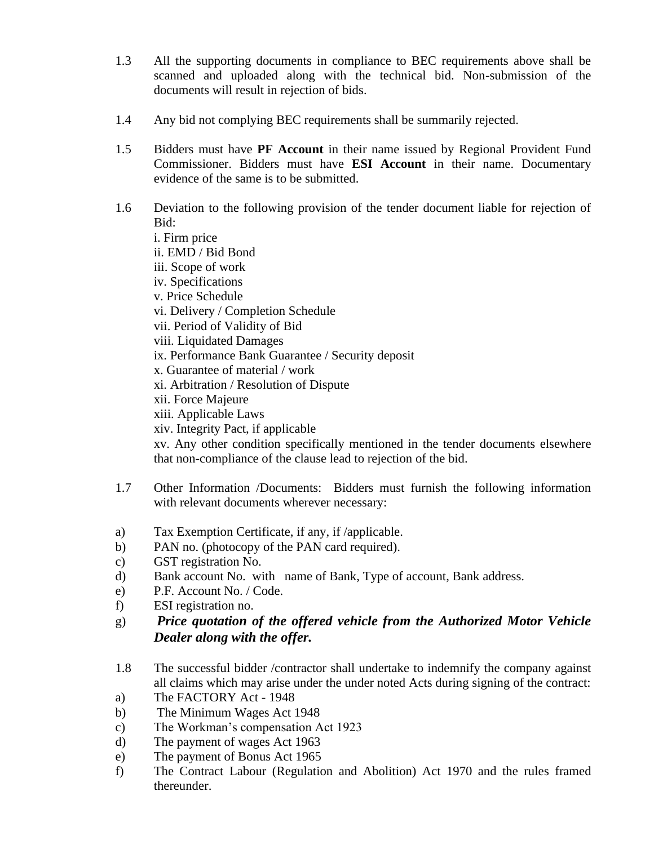- 1.3 All the supporting documents in compliance to BEC requirements above shall be scanned and uploaded along with the technical bid. Non-submission of the documents will result in rejection of bids.
- 1.4 Any bid not complying BEC requirements shall be summarily rejected.
- 1.5 Bidders must have **PF Account** in their name issued by Regional Provident Fund Commissioner. Bidders must have **ESI Account** in their name. Documentary evidence of the same is to be submitted.
- 1.6 Deviation to the following provision of the tender document liable for rejection of Bid: i. Firm price ii. EMD / Bid Bond iii. Scope of work iv. Specifications v. Price Schedule vi. Delivery / Completion Schedule vii. Period of Validity of Bid viii. Liquidated Damages ix. Performance Bank Guarantee / Security deposit x. Guarantee of material / work xi. Arbitration / Resolution of Dispute xii. Force Majeure xiii. Applicable Laws xiv. Integrity Pact, if applicable xv. Any other condition specifically mentioned in the tender documents elsewhere that non-compliance of the clause lead to rejection of the bid.
- 1.7 Other Information /Documents: Bidders must furnish the following information with relevant documents wherever necessary:
- a) Tax Exemption Certificate, if any, if /applicable.
- b) PAN no. (photocopy of the PAN card required).
- c) GST registration No.
- d) Bank account No. with name of Bank, Type of account, Bank address.
- e) P.F. Account No. / Code.
- f) ESI registration no.
- g) *Price quotation of the offered vehicle from the Authorized Motor Vehicle Dealer along with the offer.*
- 1.8 The successful bidder /contractor shall undertake to indemnify the company against all claims which may arise under the under noted Acts during signing of the contract:
- a) The FACTORY Act 1948
- b) The Minimum Wages Act 1948
- c) The Workman's compensation Act 1923
- d) The payment of wages Act 1963
- e) The payment of Bonus Act 1965
- f) The Contract Labour (Regulation and Abolition) Act 1970 and the rules framed thereunder.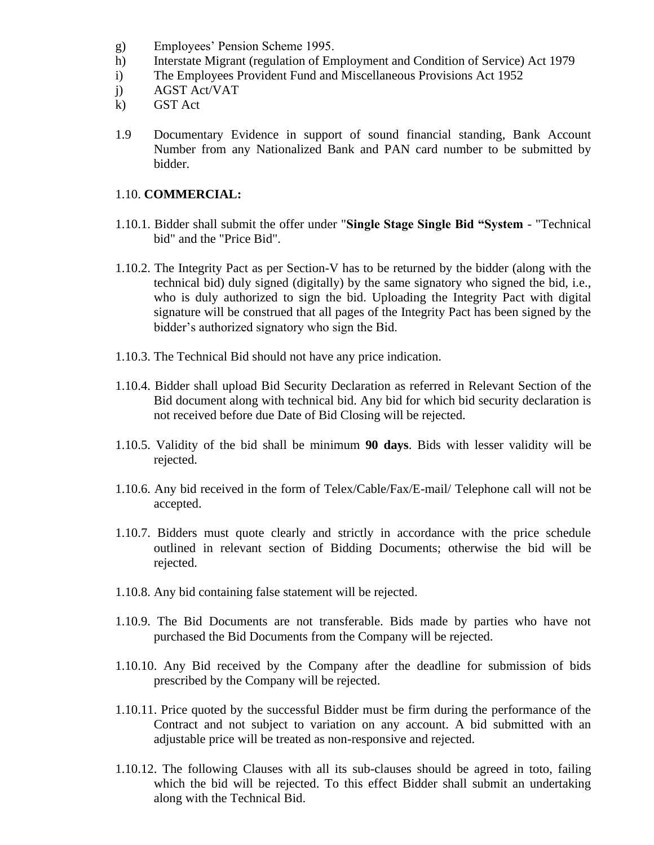- g) Employees' Pension Scheme 1995.
- h) Interstate Migrant (regulation of Employment and Condition of Service) Act 1979
- i) The Employees Provident Fund and Miscellaneous Provisions Act 1952
- j) AGST Act/VAT
- k) GST Act
- 1.9 Documentary Evidence in support of sound financial standing, Bank Account Number from any Nationalized Bank and PAN card number to be submitted by bidder.

#### 1.10. **COMMERCIAL:**

- 1.10.1. Bidder shall submit the offer under "**Single Stage Single Bid "System** "Technical bid" and the "Price Bid".
- 1.10.2. The Integrity Pact as per Section-V has to be returned by the bidder (along with the technical bid) duly signed (digitally) by the same signatory who signed the bid, i.e., who is duly authorized to sign the bid. Uploading the Integrity Pact with digital signature will be construed that all pages of the Integrity Pact has been signed by the bidder's authorized signatory who sign the Bid.
- 1.10.3. The Technical Bid should not have any price indication.
- 1.10.4. Bidder shall upload Bid Security Declaration as referred in Relevant Section of the Bid document along with technical bid. Any bid for which bid security declaration is not received before due Date of Bid Closing will be rejected.
- 1.10.5. Validity of the bid shall be minimum **90 days**. Bids with lesser validity will be rejected.
- 1.10.6. Any bid received in the form of Telex/Cable/Fax/E-mail/ Telephone call will not be accepted.
- 1.10.7. Bidders must quote clearly and strictly in accordance with the price schedule outlined in relevant section of Bidding Documents; otherwise the bid will be rejected.
- 1.10.8. Any bid containing false statement will be rejected.
- 1.10.9. The Bid Documents are not transferable. Bids made by parties who have not purchased the Bid Documents from the Company will be rejected.
- 1.10.10. Any Bid received by the Company after the deadline for submission of bids prescribed by the Company will be rejected.
- 1.10.11. Price quoted by the successful Bidder must be firm during the performance of the Contract and not subject to variation on any account. A bid submitted with an adjustable price will be treated as non-responsive and rejected.
- 1.10.12. The following Clauses with all its sub-clauses should be agreed in toto, failing which the bid will be rejected. To this effect Bidder shall submit an undertaking along with the Technical Bid.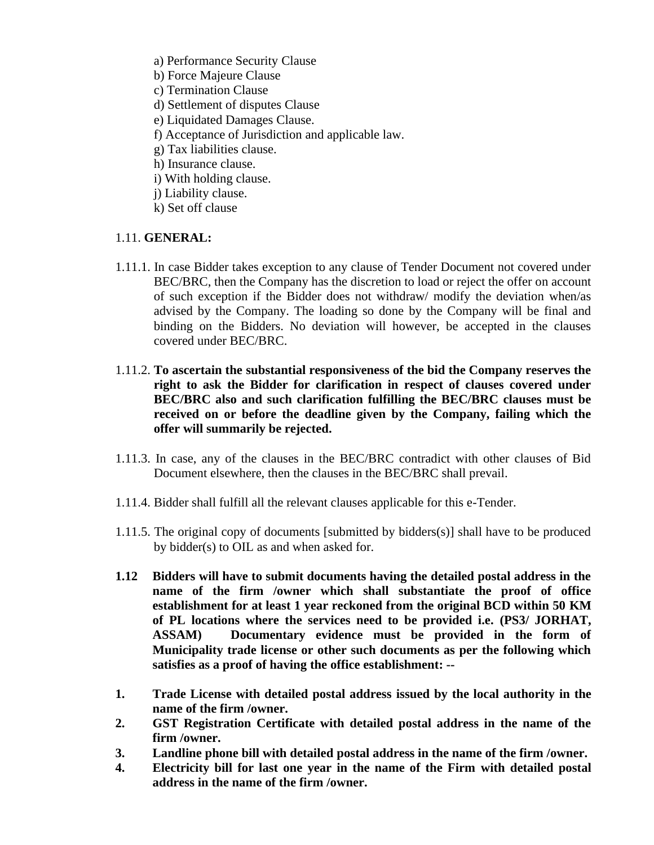- a) Performance Security Clause
- b) Force Majeure Clause
- c) Termination Clause
- d) Settlement of disputes Clause
- e) Liquidated Damages Clause.
- f) Acceptance of Jurisdiction and applicable law.
- g) Tax liabilities clause.
- h) Insurance clause.
- i) With holding clause.
- j) Liability clause.
- k) Set off clause

## 1.11. **GENERAL:**

- 1.11.1. In case Bidder takes exception to any clause of Tender Document not covered under BEC/BRC, then the Company has the discretion to load or reject the offer on account of such exception if the Bidder does not withdraw/ modify the deviation when/as advised by the Company. The loading so done by the Company will be final and binding on the Bidders. No deviation will however, be accepted in the clauses covered under BEC/BRC.
- 1.11.2. **To ascertain the substantial responsiveness of the bid the Company reserves the right to ask the Bidder for clarification in respect of clauses covered under BEC/BRC also and such clarification fulfilling the BEC/BRC clauses must be received on or before the deadline given by the Company, failing which the offer will summarily be rejected.**
- 1.11.3. In case, any of the clauses in the BEC/BRC contradict with other clauses of Bid Document elsewhere, then the clauses in the BEC/BRC shall prevail.
- 1.11.4. Bidder shall fulfill all the relevant clauses applicable for this e-Tender.
- 1.11.5. The original copy of documents [submitted by bidders(s)] shall have to be produced by bidder(s) to OIL as and when asked for.
- **1.12 Bidders will have to submit documents having the detailed postal address in the name of the firm /owner which shall substantiate the proof of office establishment for at least 1 year reckoned from the original BCD within 50 KM of PL locations where the services need to be provided i.e. (PS3/ JORHAT, ASSAM) Documentary evidence must be provided in the form of Municipality trade license or other such documents as per the following which satisfies as a proof of having the office establishment: --**
- **1. Trade License with detailed postal address issued by the local authority in the name of the firm /owner.**
- **2. GST Registration Certificate with detailed postal address in the name of the firm /owner.**
- **3. Landline phone bill with detailed postal address in the name of the firm /owner.**
- **4. Electricity bill for last one year in the name of the Firm with detailed postal address in the name of the firm /owner.**